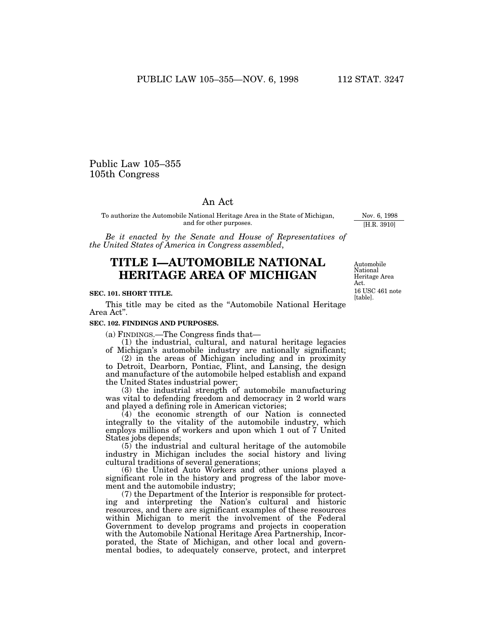## Public Law 105–355 105th Congress

## An Act

To authorize the Automobile National Heritage Area in the State of Michigan, and for other purposes.

*Be it enacted by the Senate and House of Representatives of the United States of America in Congress assembled*,

# **TITLE I—AUTOMOBILE NATIONAL HERITAGE AREA OF MICHIGAN**

## **SEC. 101. SHORT TITLE.**

This title may be cited as the ''Automobile National Heritage Area Act''.

## **SEC. 102. FINDINGS AND PURPOSES.**

(a) FINDINGS.—The Congress finds that—

(1) the industrial, cultural, and natural heritage legacies of Michigan's automobile industry are nationally significant;

(2) in the areas of Michigan including and in proximity to Detroit, Dearborn, Pontiac, Flint, and Lansing, the design and manufacture of the automobile helped establish and expand the United States industrial power;

(3) the industrial strength of automobile manufacturing was vital to defending freedom and democracy in 2 world wars and played a defining role in American victories;

(4) the economic strength of our Nation is connected integrally to the vitality of the automobile industry, which employs millions of workers and upon which 1 out of 7 United States jobs depends;

(5) the industrial and cultural heritage of the automobile industry in Michigan includes the social history and living cultural traditions of several generations;

(6) the United Auto Workers and other unions played a significant role in the history and progress of the labor movement and the automobile industry;

(7) the Department of the Interior is responsible for protecting and interpreting the Nation's cultural and historic resources, and there are significant examples of these resources within Michigan to merit the involvement of the Federal Government to develop programs and projects in cooperation with the Automobile National Heritage Area Partnership, Incorporated, the State of Michigan, and other local and governmental bodies, to adequately conserve, protect, and interpret

Automobile National Heritage Area Act. 16 USC 461 note [table].

Nov. 6, 1998 [H.R. 3910]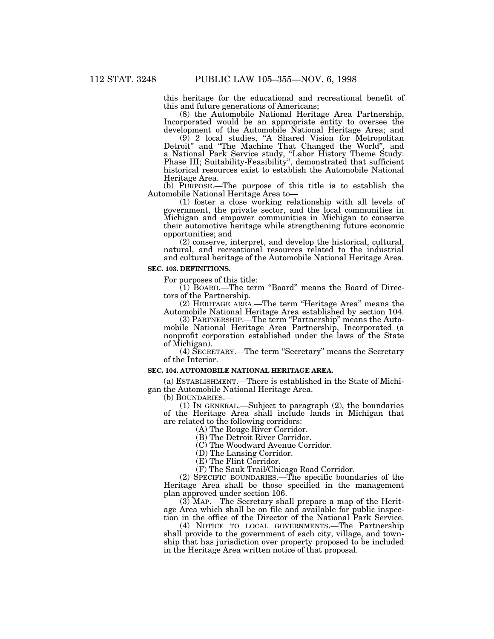this heritage for the educational and recreational benefit of this and future generations of Americans;

(8) the Automobile National Heritage Area Partnership, Incorporated would be an appropriate entity to oversee the development of the Automobile National Heritage Area; and

(9) 2 local studies, ''A Shared Vision for Metropolitan Detroit'' and ''The Machine That Changed the World'', and a National Park Service study, ''Labor History Theme Study: Phase III; Suitability-Feasibility'', demonstrated that sufficient historical resources exist to establish the Automobile National Heritage Area.

(b) PURPOSE.—The purpose of this title is to establish the Automobile National Heritage Area to—

(1) foster a close working relationship with all levels of government, the private sector, and the local communities in Michigan and empower communities in Michigan to conserve their automotive heritage while strengthening future economic opportunities; and

(2) conserve, interpret, and develop the historical, cultural, natural, and recreational resources related to the industrial and cultural heritage of the Automobile National Heritage Area.

#### **SEC. 103. DEFINITIONS.**

For purposes of this title:

(1) BOARD.—The term ''Board'' means the Board of Directors of the Partnership.

(2) HERITAGE AREA.—The term ''Heritage Area'' means the Automobile National Heritage Area established by section 104.

(3) PARTNERSHIP.—The term ''Partnership'' means the Automobile National Heritage Area Partnership, Incorporated (a nonprofit corporation established under the laws of the State of Michigan).

(4) SECRETARY.—The term ''Secretary'' means the Secretary of the Interior.

#### **SEC. 104. AUTOMOBILE NATIONAL HERITAGE AREA.**

(a) ESTABLISHMENT.—There is established in the State of Michigan the Automobile National Heritage Area.<br>(b) BOUNDARIES.—

(1) In GENERAL.—Subject to paragraph  $(2)$ , the boundaries of the Heritage Area shall include lands in Michigan that are related to the following corridors:

(A) The Rouge River Corridor.

(B) The Detroit River Corridor.

(C) The Woodward Avenue Corridor.

(D) The Lansing Corridor.

(E) The Flint Corridor.

(F) The Sauk Trail/Chicago Road Corridor.

(2) SPECIFIC BOUNDARIES.—The specific boundaries of the Heritage Area shall be those specified in the management plan approved under section 106.

(3) MAP.—The Secretary shall prepare a map of the Heritage Area which shall be on file and available for public inspection in the office of the Director of the National Park Service.

(4) NOTICE TO LOCAL GOVERNMENTS.—The Partnership shall provide to the government of each city, village, and township that has jurisdiction over property proposed to be included in the Heritage Area written notice of that proposal.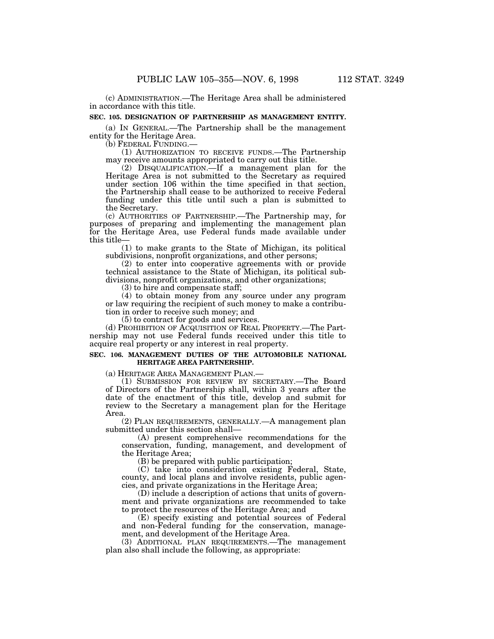(c) ADMINISTRATION.—The Heritage Area shall be administered in accordance with this title.

#### **SEC. 105. DESIGNATION OF PARTNERSHIP AS MANAGEMENT ENTITY.**

(a) IN GENERAL.—The Partnership shall be the management entity for the Heritage Area.<br>(b) FEDERAL FUNDING.

 $(1)$  AUTHORIZATION TO RECEIVE FUNDS.—The Partnership may receive amounts appropriated to carry out this title.

(2) DISQUALIFICATION.—If a management plan for the Heritage Area is not submitted to the Secretary as required under section 106 within the time specified in that section, the Partnership shall cease to be authorized to receive Federal funding under this title until such a plan is submitted to the Secretary.

(c) AUTHORITIES OF PARTNERSHIP.—The Partnership may, for purposes of preparing and implementing the management plan for the Heritage Area, use Federal funds made available under this title—

(1) to make grants to the State of Michigan, its political subdivisions, nonprofit organizations, and other persons;

(2) to enter into cooperative agreements with or provide technical assistance to the State of Michigan, its political subdivisions, nonprofit organizations, and other organizations;

(3) to hire and compensate staff;

(4) to obtain money from any source under any program or law requiring the recipient of such money to make a contribution in order to receive such money; and

(5) to contract for goods and services.

(d) PROHIBITION OF ACQUISITION OF REAL PROPERTY.—The Partnership may not use Federal funds received under this title to acquire real property or any interest in real property.

### **SEC. 106. MANAGEMENT DUTIES OF THE AUTOMOBILE NATIONAL HERITAGE AREA PARTNERSHIP.**

(a) HERITAGE AREA MANAGEMENT PLAN.— (1) SUBMISSION FOR REVIEW BY SECRETARY.—The Board of Directors of the Partnership shall, within 3 years after the date of the enactment of this title, develop and submit for review to the Secretary a management plan for the Heritage Area.

(2) PLAN REQUIREMENTS, GENERALLY.—A management plan submitted under this section shall—

(A) present comprehensive recommendations for the conservation, funding, management, and development of the Heritage Area;

(B) be prepared with public participation;

(C) take into consideration existing Federal, State, county, and local plans and involve residents, public agencies, and private organizations in the Heritage Area;

(D) include a description of actions that units of government and private organizations are recommended to take to protect the resources of the Heritage Area; and

(E) specify existing and potential sources of Federal and non-Federal funding for the conservation, management, and development of the Heritage Area.

(3) ADDITIONAL PLAN REQUIREMENTS.—The management plan also shall include the following, as appropriate: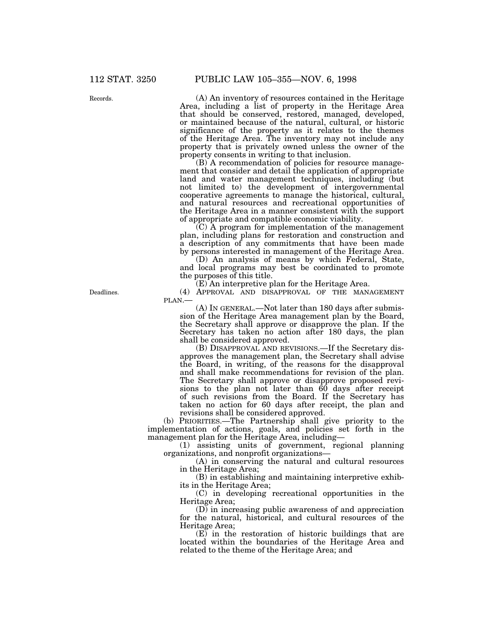Records.

(A) An inventory of resources contained in the Heritage Area, including a list of property in the Heritage Area that should be conserved, restored, managed, developed, or maintained because of the natural, cultural, or historic significance of the property as it relates to the themes of the Heritage Area. The inventory may not include any property that is privately owned unless the owner of the property consents in writing to that inclusion.

(B) A recommendation of policies for resource management that consider and detail the application of appropriate land and water management techniques, including (but not limited to) the development of intergovernmental cooperative agreements to manage the historical, cultural, and natural resources and recreational opportunities of the Heritage Area in a manner consistent with the support of appropriate and compatible economic viability.

(C) A program for implementation of the management plan, including plans for restoration and construction and a description of any commitments that have been made by persons interested in management of the Heritage Area.

(D) An analysis of means by which Federal, State, and local programs may best be coordinated to promote the purposes of this title.

(E) An interpretive plan for the Heritage Area.

(4) APPROVAL AND DISAPPROVAL OF THE MANAGEMENT PLAN.—

(A) IN GENERAL.—Not later than 180 days after submission of the Heritage Area management plan by the Board, the Secretary shall approve or disapprove the plan. If the Secretary has taken no action after 180 days, the plan shall be considered approved.

(B) DISAPPROVAL AND REVISIONS.—If the Secretary disapproves the management plan, the Secretary shall advise the Board, in writing, of the reasons for the disapproval and shall make recommendations for revision of the plan. The Secretary shall approve or disapprove proposed revisions to the plan not later than 60 days after receipt of such revisions from the Board. If the Secretary has taken no action for 60 days after receipt, the plan and revisions shall be considered approved.

(b) PRIORITIES.—The Partnership shall give priority to the implementation of actions, goals, and policies set forth in the management plan for the Heritage Area, including—

(1) assisting units of government, regional planning organizations, and nonprofit organizations—

(A) in conserving the natural and cultural resources in the Heritage Area;

(B) in establishing and maintaining interpretive exhibits in the Heritage Area;

(C) in developing recreational opportunities in the Heritage Area;

(D) in increasing public awareness of and appreciation for the natural, historical, and cultural resources of the Heritage Area;

(E) in the restoration of historic buildings that are located within the boundaries of the Heritage Area and related to the theme of the Heritage Area; and

Deadlines.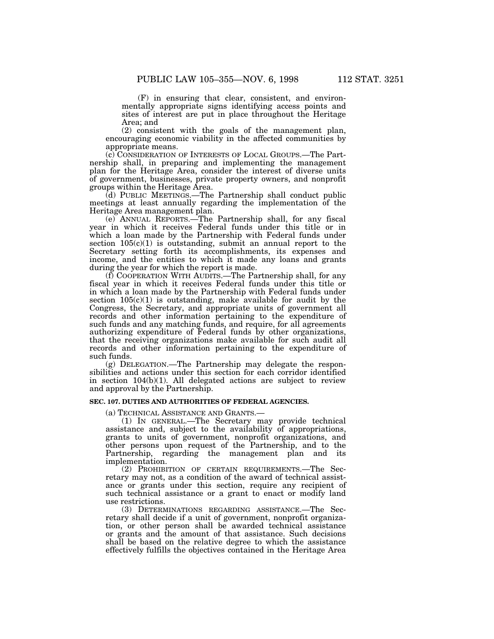(F) in ensuring that clear, consistent, and environmentally appropriate signs identifying access points and sites of interest are put in place throughout the Heritage Area; and

(2) consistent with the goals of the management plan, encouraging economic viability in the affected communities by appropriate means.

(c) CONSIDERATION OF INTERESTS OF LOCAL GROUPS.—The Partnership shall, in preparing and implementing the management plan for the Heritage Area, consider the interest of diverse units of government, businesses, private property owners, and nonprofit groups within the Heritage Area.

(d) PUBLIC MEETINGS.—The Partnership shall conduct public meetings at least annually regarding the implementation of the Heritage Area management plan.

(e) ANNUAL REPORTS.—The Partnership shall, for any fiscal year in which it receives Federal funds under this title or in which a loan made by the Partnership with Federal funds under section  $105(c)(1)$  is outstanding, submit an annual report to the Secretary setting forth its accomplishments, its expenses and income, and the entities to which it made any loans and grants during the year for which the report is made.

(f) COOPERATION WITH AUDITS.—The Partnership shall, for any fiscal year in which it receives Federal funds under this title or in which a loan made by the Partnership with Federal funds under section  $105(c)(1)$  is outstanding, make available for audit by the Congress, the Secretary, and appropriate units of government all records and other information pertaining to the expenditure of such funds and any matching funds, and require, for all agreements authorizing expenditure of Federal funds by other organizations, that the receiving organizations make available for such audit all records and other information pertaining to the expenditure of such funds.

(g) DELEGATION.—The Partnership may delegate the responsibilities and actions under this section for each corridor identified in section 104(b)(1). All delegated actions are subject to review and approval by the Partnership.

#### **SEC. 107. DUTIES AND AUTHORITIES OF FEDERAL AGENCIES.**

(a) TECHNICAL ASSISTANCE AND GRANTS.—

(1) IN GENERAL.—The Secretary may provide technical assistance and, subject to the availability of appropriations, grants to units of government, nonprofit organizations, and other persons upon request of the Partnership, and to the Partnership, regarding the management plan and its implementation.

(2) PROHIBITION OF CERTAIN REQUIREMENTS.—The Secretary may not, as a condition of the award of technical assistance or grants under this section, require any recipient of such technical assistance or a grant to enact or modify land use restrictions.

(3) DETERMINATIONS REGARDING ASSISTANCE.—The Secretary shall decide if a unit of government, nonprofit organization, or other person shall be awarded technical assistance or grants and the amount of that assistance. Such decisions shall be based on the relative degree to which the assistance effectively fulfills the objectives contained in the Heritage Area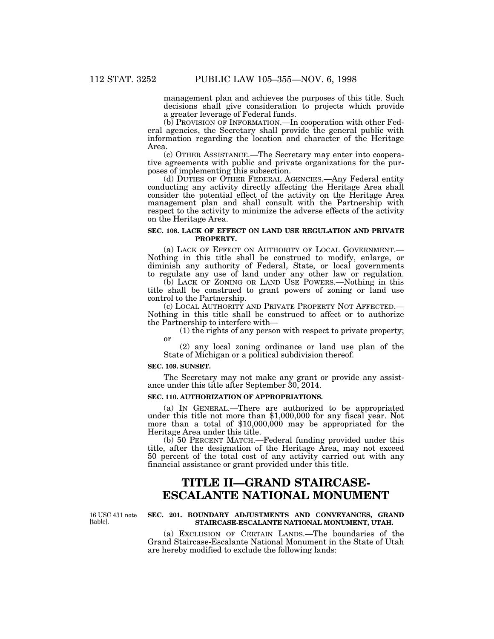management plan and achieves the purposes of this title. Such decisions shall give consideration to projects which provide a greater leverage of Federal funds.

(b) PROVISION OF INFORMATION.—In cooperation with other Federal agencies, the Secretary shall provide the general public with information regarding the location and character of the Heritage Area.

(c) OTHER ASSISTANCE.—The Secretary may enter into cooperative agreements with public and private organizations for the purposes of implementing this subsection.

(d) DUTIES OF OTHER FEDERAL AGENCIES.—Any Federal entity conducting any activity directly affecting the Heritage Area shall consider the potential effect of the activity on the Heritage Area management plan and shall consult with the Partnership with respect to the activity to minimize the adverse effects of the activity on the Heritage Area.

## **SEC. 108. LACK OF EFFECT ON LAND USE REGULATION AND PRIVATE PROPERTY.**

(a) LACK OF EFFECT ON AUTHORITY OF LOCAL GOVERNMENT.— Nothing in this title shall be construed to modify, enlarge, or diminish any authority of Federal, State, or local governments to regulate any use of land under any other law or regulation.

(b) LACK OF ZONING OR LAND USE POWERS.—Nothing in this title shall be construed to grant powers of zoning or land use control to the Partnership.

(c) LOCAL AUTHORITY AND PRIVATE PROPERTY NOT AFFECTED.— Nothing in this title shall be construed to affect or to authorize the Partnership to interfere with—

(1) the rights of any person with respect to private property; or

(2) any local zoning ordinance or land use plan of the State of Michigan or a political subdivision thereof.

#### **SEC. 109. SUNSET.**

The Secretary may not make any grant or provide any assistance under this title after September 30, 2014.

## **SEC. 110. AUTHORIZATION OF APPROPRIATIONS.**

(a) IN GENERAL.—There are authorized to be appropriated under this title not more than \$1,000,000 for any fiscal year. Not more than a total of \$10,000,000 may be appropriated for the Heritage Area under this title.

(b) 50 PERCENT MATCH.—Federal funding provided under this title, after the designation of the Heritage Area, may not exceed 50 percent of the total cost of any activity carried out with any financial assistance or grant provided under this title.

# **TITLE II—GRAND STAIRCASE-ESCALANTE NATIONAL MONUMENT**

16 USC 431 note [table].

## **SEC. 201. BOUNDARY ADJUSTMENTS AND CONVEYANCES, GRAND STAIRCASE-ESCALANTE NATIONAL MONUMENT, UTAH.**

(a) EXCLUSION OF CERTAIN LANDS.—The boundaries of the Grand Staircase-Escalante National Monument in the State of Utah are hereby modified to exclude the following lands: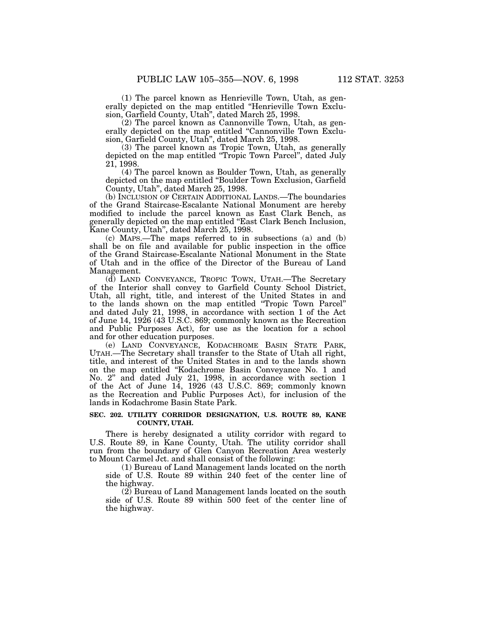(1) The parcel known as Henrieville Town, Utah, as generally depicted on the map entitled ''Henrieville Town Exclusion, Garfield County, Utah'', dated March 25, 1998.

(2) The parcel known as Cannonville Town, Utah, as generally depicted on the map entitled "Cannonville Town Exclusion, Garfield County, Utah'', dated March 25, 1998.

(3) The parcel known as Tropic Town, Utah, as generally depicted on the map entitled ''Tropic Town Parcel'', dated July 21, 1998.

(4) The parcel known as Boulder Town, Utah, as generally depicted on the map entitled ''Boulder Town Exclusion, Garfield County, Utah'', dated March 25, 1998.

(b) INCLUSION OF CERTAIN ADDITIONAL LANDS.—The boundaries of the Grand Staircase-Escalante National Monument are hereby modified to include the parcel known as East Clark Bench, as generally depicted on the map entitled ''East Clark Bench Inclusion, Kane County, Utah'', dated March 25, 1998.

(c) MAPS.—The maps referred to in subsections (a) and (b) shall be on file and available for public inspection in the office of the Grand Staircase-Escalante National Monument in the State of Utah and in the office of the Director of the Bureau of Land Management.

(d) LAND CONVEYANCE, TROPIC TOWN, UTAH.—The Secretary of the Interior shall convey to Garfield County School District, Utah, all right, title, and interest of the United States in and to the lands shown on the map entitled ''Tropic Town Parcel'' and dated July 21, 1998, in accordance with section 1 of the Act of June 14, 1926 (43 U.S.C. 869; commonly known as the Recreation and Public Purposes Act), for use as the location for a school and for other education purposes.

(e) LAND CONVEYANCE, KODACHROME BASIN STATE PARK, UTAH.—The Secretary shall transfer to the State of Utah all right, title, and interest of the United States in and to the lands shown on the map entitled ''Kodachrome Basin Conveyance No. 1 and No. 2'' and dated July 21, 1998, in accordance with section 1 of the Act of June 14, 1926 (43 U.S.C. 869; commonly known as the Recreation and Public Purposes Act), for inclusion of the lands in Kodachrome Basin State Park.

#### **SEC. 202. UTILITY CORRIDOR DESIGNATION, U.S. ROUTE 89, KANE COUNTY, UTAH.**

There is hereby designated a utility corridor with regard to U.S. Route 89, in Kane County, Utah. The utility corridor shall run from the boundary of Glen Canyon Recreation Area westerly to Mount Carmel Jct. and shall consist of the following:

(1) Bureau of Land Management lands located on the north side of U.S. Route 89 within 240 feet of the center line of the highway.

(2) Bureau of Land Management lands located on the south side of U.S. Route 89 within 500 feet of the center line of the highway.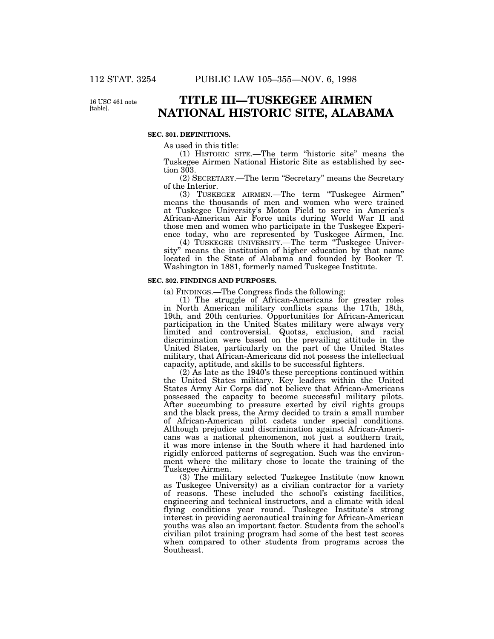16 USC 461 note [table].

# **TITLE III—TUSKEGEE AIRMEN NATIONAL HISTORIC SITE, ALABAMA**

## **SEC. 301. DEFINITIONS.**

As used in this title:

(1) HISTORIC SITE.—The term ''historic site'' means the Tuskegee Airmen National Historic Site as established by section 303.

(2) SECRETARY.—The term ''Secretary'' means the Secretary of the Interior.

(3) TUSKEGEE AIRMEN.—The term ''Tuskegee Airmen'' means the thousands of men and women who were trained at Tuskegee University's Moton Field to serve in America's African-American Air Force units during World War II and those men and women who participate in the Tuskegee Experience today, who are represented by Tuskegee Airmen, Inc.

(4) TUSKEGEE UNIVERSITY.—The term ''Tuskegee University'' means the institution of higher education by that name located in the State of Alabama and founded by Booker T. Washington in 1881, formerly named Tuskegee Institute.

#### **SEC. 302. FINDINGS AND PURPOSES.**

(a) FINDINGS.—The Congress finds the following:

(1) The struggle of African-Americans for greater roles in North American military conflicts spans the 17th, 18th, 19th, and 20th centuries. Opportunities for African-American participation in the United States military were always very limited and controversial. Quotas, exclusion, and racial discrimination were based on the prevailing attitude in the United States, particularly on the part of the United States military, that African-Americans did not possess the intellectual capacity, aptitude, and skills to be successful fighters.

(2) As late as the 1940's these perceptions continued within the United States military. Key leaders within the United States Army Air Corps did not believe that African-Americans possessed the capacity to become successful military pilots. After succumbing to pressure exerted by civil rights groups and the black press, the Army decided to train a small number of African-American pilot cadets under special conditions. Although prejudice and discrimination against African-Americans was a national phenomenon, not just a southern trait, it was more intense in the South where it had hardened into rigidly enforced patterns of segregation. Such was the environment where the military chose to locate the training of the Tuskegee Airmen.

 $(3)$  The military selected Tuskegee Institute (now known) as Tuskegee University) as a civilian contractor for a variety of reasons. These included the school's existing facilities, engineering and technical instructors, and a climate with ideal flying conditions year round. Tuskegee Institute's strong interest in providing aeronautical training for African-American youths was also an important factor. Students from the school's civilian pilot training program had some of the best test scores when compared to other students from programs across the Southeast.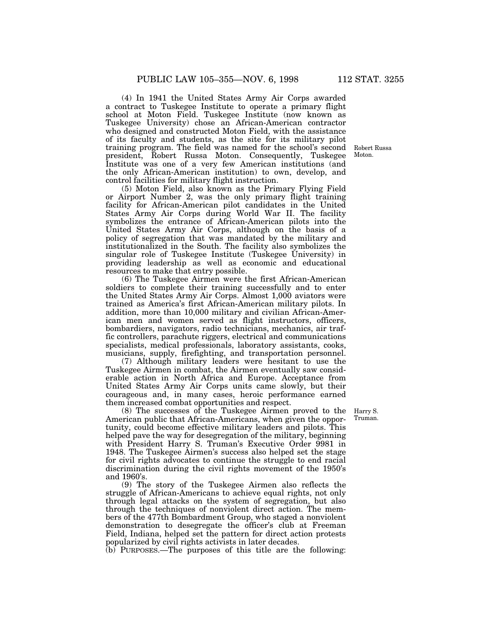(4) In 1941 the United States Army Air Corps awarded a contract to Tuskegee Institute to operate a primary flight school at Moton Field. Tuskegee Institute (now known as Tuskegee University) chose an African-American contractor who designed and constructed Moton Field, with the assistance of its faculty and students, as the site for its military pilot training program. The field was named for the school's second president, Robert Russa Moton. Consequently, Tuskegee Institute was one of a very few American institutions (and the only African-American institution) to own, develop, and control facilities for military flight instruction.

(5) Moton Field, also known as the Primary Flying Field or Airport Number 2, was the only primary flight training facility for African-American pilot candidates in the United States Army Air Corps during World War II. The facility symbolizes the entrance of African-American pilots into the United States Army Air Corps, although on the basis of a policy of segregation that was mandated by the military and institutionalized in the South. The facility also symbolizes the singular role of Tuskegee Institute (Tuskegee University) in providing leadership as well as economic and educational resources to make that entry possible.

(6) The Tuskegee Airmen were the first African-American soldiers to complete their training successfully and to enter the United States Army Air Corps. Almost 1,000 aviators were trained as America's first African-American military pilots. In addition, more than 10,000 military and civilian African-American men and women served as flight instructors, officers, bombardiers, navigators, radio technicians, mechanics, air traffic controllers, parachute riggers, electrical and communications specialists, medical professionals, laboratory assistants, cooks, musicians, supply, firefighting, and transportation personnel.

(7) Although military leaders were hesitant to use the Tuskegee Airmen in combat, the Airmen eventually saw considerable action in North Africa and Europe. Acceptance from United States Army Air Corps units came slowly, but their courageous and, in many cases, heroic performance earned them increased combat opportunities and respect.

(8) The successes of the Tuskegee Airmen proved to the Harry S. American public that African-Americans, when given the opportunity, could become effective military leaders and pilots. This helped pave the way for desegregation of the military, beginning with President Harry S. Truman's Executive Order 9981 in 1948. The Tuskegee Airmen's success also helped set the stage for civil rights advocates to continue the struggle to end racial discrimination during the civil rights movement of the 1950's and 1960's.

(9) The story of the Tuskegee Airmen also reflects the struggle of African-Americans to achieve equal rights, not only through legal attacks on the system of segregation, but also through the techniques of nonviolent direct action. The members of the 477th Bombardment Group, who staged a nonviolent demonstration to desegregate the officer's club at Freeman Field, Indiana, helped set the pattern for direct action protests popularized by civil rights activists in later decades.

 $(b)$  PURPOSES.—The purposes of this title are the following:

Truman.

Robert Russa Moton.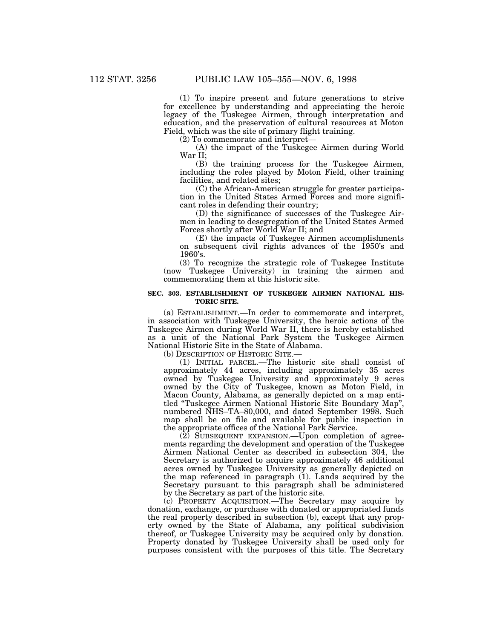(1) To inspire present and future generations to strive for excellence by understanding and appreciating the heroic legacy of the Tuskegee Airmen, through interpretation and education, and the preservation of cultural resources at Moton Field, which was the site of primary flight training.

(2) To commemorate and interpret—

(A) the impact of the Tuskegee Airmen during World War II;

(B) the training process for the Tuskegee Airmen, including the roles played by Moton Field, other training facilities, and related sites;

(C) the African-American struggle for greater participation in the United States Armed Forces and more significant roles in defending their country;

(D) the significance of successes of the Tuskegee Airmen in leading to desegregation of the United States Armed Forces shortly after World War II; and

(E) the impacts of Tuskegee Airmen accomplishments on subsequent civil rights advances of the 1950's and 1960's.

(3) To recognize the strategic role of Tuskegee Institute (now Tuskegee University) in training the airmen and commemorating them at this historic site.

#### **SEC. 303. ESTABLISHMENT OF TUSKEGEE AIRMEN NATIONAL HIS-TORIC SITE.**

(a) ESTABLISHMENT.—In order to commemorate and interpret, in association with Tuskegee University, the heroic actions of the Tuskegee Airmen during World War II, there is hereby established as a unit of the National Park System the Tuskegee Airmen National Historic Site in the State of Alabama.

(b) DESCRIPTION OF HISTORIC SITE.—

(1) INITIAL PARCEL.—The historic site shall consist of approximately 44 acres, including approximately 35 acres owned by Tuskegee University and approximately 9 acres owned by the City of Tuskegee, known as Moton Field, in Macon County, Alabama, as generally depicted on a map entitled ''Tuskegee Airmen National Historic Site Boundary Map'', numbered NHS–TA–80,000, and dated September 1998. Such map shall be on file and available for public inspection in the appropriate offices of the National Park Service.

(2) SUBSEQUENT EXPANSION.—Upon completion of agreements regarding the development and operation of the Tuskegee Airmen National Center as described in subsection 304, the Secretary is authorized to acquire approximately 46 additional acres owned by Tuskegee University as generally depicted on the map referenced in paragraph (1). Lands acquired by the Secretary pursuant to this paragraph shall be administered by the Secretary as part of the historic site.

(c) PROPERTY ACQUISITION.—The Secretary may acquire by donation, exchange, or purchase with donated or appropriated funds the real property described in subsection (b), except that any property owned by the State of Alabama, any political subdivision thereof, or Tuskegee University may be acquired only by donation. Property donated by Tuskegee University shall be used only for purposes consistent with the purposes of this title. The Secretary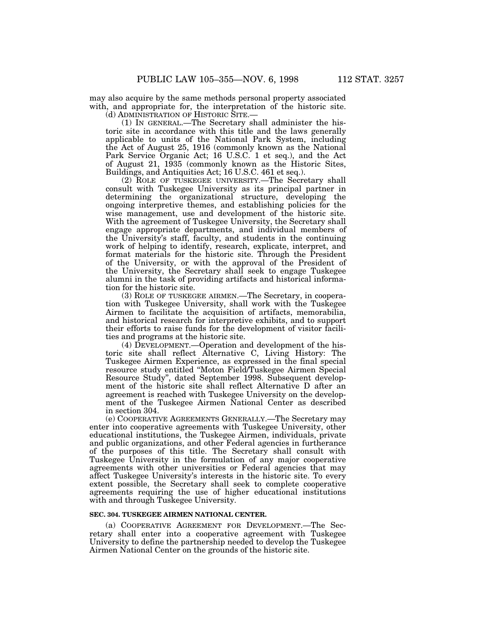may also acquire by the same methods personal property associated with, and appropriate for, the interpretation of the historic site.

(d) ADMINISTRATION OF HISTORIC SITE.—

(1) IN GENERAL.—The Secretary shall administer the historic site in accordance with this title and the laws generally applicable to units of the National Park System, including the Act of August 25, 1916 (commonly known as the National Park Service Organic Act; 16 U.S.C. 1 et seq.), and the Act of August 21, 1935 (commonly known as the Historic Sites, Buildings, and Antiquities Act; 16 U.S.C. 461 et seq.).

(2) ROLE OF TUSKEGEE UNIVERSITY.—The Secretary shall consult with Tuskegee University as its principal partner in determining the organizational structure, developing the ongoing interpretive themes, and establishing policies for the wise management, use and development of the historic site. With the agreement of Tuskegee University, the Secretary shall engage appropriate departments, and individual members of the University's staff, faculty, and students in the continuing work of helping to identify, research, explicate, interpret, and format materials for the historic site. Through the President of the University, or with the approval of the President of the University, the Secretary shall seek to engage Tuskegee alumni in the task of providing artifacts and historical information for the historic site.

(3) ROLE OF TUSKEGEE AIRMEN.—The Secretary, in cooperation with Tuskegee University, shall work with the Tuskegee Airmen to facilitate the acquisition of artifacts, memorabilia, and historical research for interpretive exhibits, and to support their efforts to raise funds for the development of visitor facilities and programs at the historic site.

(4) DEVELOPMENT.—Operation and development of the historic site shall reflect Alternative C, Living History: The Tuskegee Airmen Experience, as expressed in the final special resource study entitled ''Moton Field/Tuskegee Airmen Special Resource Study'', dated September 1998. Subsequent development of the historic site shall reflect Alternative D after an agreement is reached with Tuskegee University on the development of the Tuskegee Airmen National Center as described in section 304.

(e) COOPERATIVE AGREEMENTS GENERALLY.—The Secretary may enter into cooperative agreements with Tuskegee University, other educational institutions, the Tuskegee Airmen, individuals, private and public organizations, and other Federal agencies in furtherance of the purposes of this title. The Secretary shall consult with Tuskegee University in the formulation of any major cooperative agreements with other universities or Federal agencies that may affect Tuskegee University's interests in the historic site. To every extent possible, the Secretary shall seek to complete cooperative agreements requiring the use of higher educational institutions with and through Tuskegee University.

#### **SEC. 304. TUSKEGEE AIRMEN NATIONAL CENTER.**

(a) COOPERATIVE AGREEMENT FOR DEVELOPMENT.—The Secretary shall enter into a cooperative agreement with Tuskegee University to define the partnership needed to develop the Tuskegee Airmen National Center on the grounds of the historic site.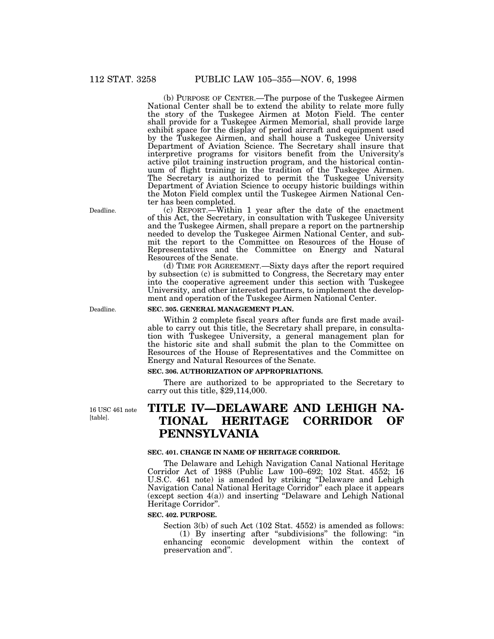(b) PURPOSE OF CENTER.—The purpose of the Tuskegee Airmen National Center shall be to extend the ability to relate more fully the story of the Tuskegee Airmen at Moton Field. The center shall provide for a Tuskegee Airmen Memorial, shall provide large exhibit space for the display of period aircraft and equipment used by the Tuskegee Airmen, and shall house a Tuskegee University Department of Aviation Science. The Secretary shall insure that interpretive programs for visitors benefit from the University's active pilot training instruction program, and the historical continuum of flight training in the tradition of the Tuskegee Airmen. The Secretary is authorized to permit the Tuskegee University Department of Aviation Science to occupy historic buildings within the Moton Field complex until the Tuskegee Airmen National Center has been completed.

(c) REPORT.—Within 1 year after the date of the enactment of this Act, the Secretary, in consultation with Tuskegee University and the Tuskegee Airmen, shall prepare a report on the partnership needed to develop the Tuskegee Airmen National Center, and submit the report to the Committee on Resources of the House of Representatives and the Committee on Energy and Natural Resources of the Senate.

(d) TIME FOR AGREEMENT.—Sixty days after the report required by subsection (c) is submitted to Congress, the Secretary may enter into the cooperative agreement under this section with Tuskegee University, and other interested partners, to implement the development and operation of the Tuskegee Airmen National Center.

#### **SEC. 305. GENERAL MANAGEMENT PLAN.**

Within 2 complete fiscal years after funds are first made available to carry out this title, the Secretary shall prepare, in consultation with Tuskegee University, a general management plan for the historic site and shall submit the plan to the Committee on Resources of the House of Representatives and the Committee on Energy and Natural Resources of the Senate.

### **SEC. 306. AUTHORIZATION OF APPROPRIATIONS.**

There are authorized to be appropriated to the Secretary to carry out this title, \$29,114,000.

16 USC 461 note [table].

# **TITLE IV—DELAWARE AND LEHIGH NA-TIONAL HERITAGE CORRIDOR OF PENNSYLVANIA**

#### **SEC. 401. CHANGE IN NAME OF HERITAGE CORRIDOR.**

The Delaware and Lehigh Navigation Canal National Heritage Corridor Act of 1988 (Public Law 100–692; 102 Stat. 4552; 16 U.S.C. 461 note) is amended by striking ''Delaware and Lehigh Navigation Canal National Heritage Corridor'' each place it appears (except section 4(a)) and inserting ''Delaware and Lehigh National Heritage Corridor''.

#### **SEC. 402. PURPOSE.**

Section 3(b) of such Act (102 Stat. 4552) is amended as follows: (1) By inserting after ''subdivisions'' the following: ''in enhancing economic development within the context of preservation and''.

Deadline.

Deadline.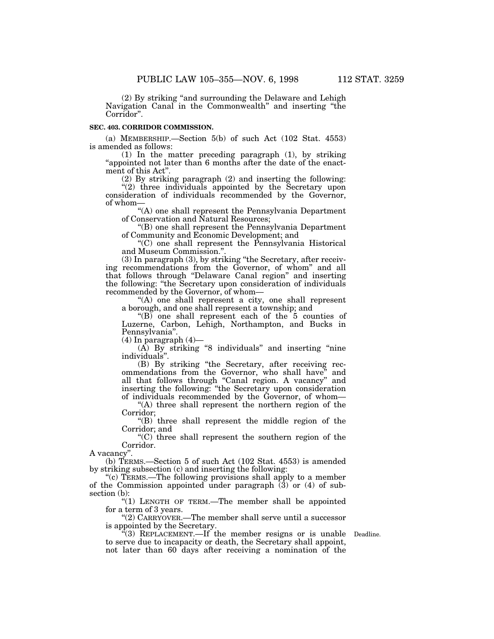(2) By striking ''and surrounding the Delaware and Lehigh Navigation Canal in the Commonwealth'' and inserting ''the Corridor''.

#### **SEC. 403. CORRIDOR COMMISSION.**

(a) MEMBERSHIP.—Section 5(b) of such Act (102 Stat. 4553) is amended as follows:

(1) In the matter preceding paragraph (1), by striking "appointed not later than 6 months after the date of the enactment of this Act''.

(2) By striking paragraph (2) and inserting the following: ''(2) three individuals appointed by the Secretary upon consideration of individuals recommended by the Governor, of whom—

''(A) one shall represent the Pennsylvania Department of Conservation and Natural Resources;

''(B) one shall represent the Pennsylvania Department of Community and Economic Development; and

''(C) one shall represent the Pennsylvania Historical and Museum Commission.''.

(3) In paragraph (3), by striking ''the Secretary, after receiving recommendations from the Governor, of whom'' and all that follows through ''Delaware Canal region'' and inserting the following: "the Secretary upon consideration of individuals recommended by the Governor, of whom—

''(A) one shall represent a city, one shall represent a borough, and one shall represent a township; and

 $(G)$  one shall represent each of the 5 counties of Luzerne, Carbon, Lehigh, Northampton, and Bucks in Pennsylvania''.

 $(4)$  In paragraph  $(4)$ —

(A) By striking ''8 individuals'' and inserting ''nine individuals''.

(B) By striking ''the Secretary, after receiving recommendations from the Governor, who shall have'' and all that follows through ''Canal region. A vacancy'' and inserting the following: ''the Secretary upon consideration of individuals recommended by the Governor, of whom—

''(A) three shall represent the northern region of the Corridor;

"(B) three shall represent the middle region of the Corridor; and

''(C) three shall represent the southern region of the Corridor.

A vacancy''.

(b) TERMS.—Section 5 of such Act (102 Stat. 4553) is amended by striking subsection (c) and inserting the following:

"(c) TERMS.—The following provisions shall apply to a member of the Commission appointed under paragraph  $(3)$  or  $(4)$  of subsection (b):

''(1) LENGTH OF TERM.—The member shall be appointed for a term of 3 years.

''(2) CARRYOVER.—The member shall serve until a successor is appointed by the Secretary.

 $(3)$  REPLACEMENT.—If the member resigns or is unable Deadline. to serve due to incapacity or death, the Secretary shall appoint, not later than 60 days after receiving a nomination of the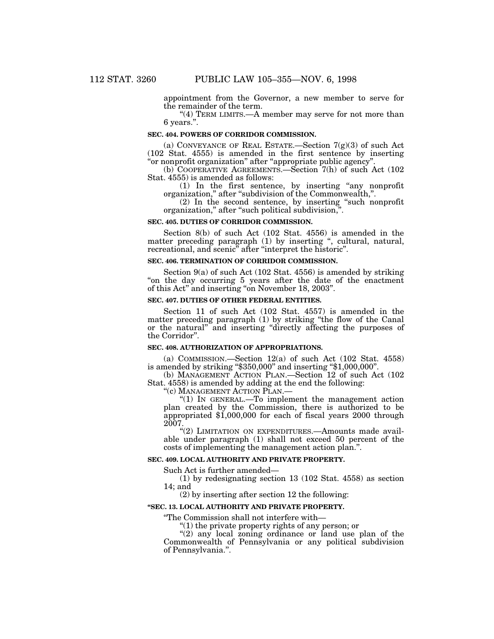appointment from the Governor, a new member to serve for the remainder of the term.

" $(4)$  TERM LIMITS.—A member may serve for not more than 6 years.''.

#### **SEC. 404. POWERS OF CORRIDOR COMMISSION.**

(a) CONVEYANCE OF REAL ESTATE.—Section  $7(g)(3)$  of such Act (102 Stat. 4555) is amended in the first sentence by inserting ''or nonprofit organization'' after ''appropriate public agency''.

(b) COOPERATIVE AGREEMENTS.—Section 7(h) of such Act (102 Stat. 4555) is amended as follows:

(1) In the first sentence, by inserting ''any nonprofit organization,'' after ''subdivision of the Commonwealth,''.

(2) In the second sentence, by inserting ''such nonprofit organization," after "such political subdivision,".

#### **SEC. 405. DUTIES OF CORRIDOR COMMISSION.**

Section 8(b) of such Act (102 Stat. 4556) is amended in the matter preceding paragraph (1) by inserting ", cultural, natural, recreational, and scenic<sup>"</sup> after "interpret the historic".

#### **SEC. 406. TERMINATION OF CORRIDOR COMMISSION.**

Section 9(a) of such Act (102 Stat. 4556) is amended by striking ''on the day occurring 5 years after the date of the enactment of this Act'' and inserting ''on November 18, 2003''.

#### **SEC. 407. DUTIES OF OTHER FEDERAL ENTITIES.**

Section 11 of such Act (102 Stat. 4557) is amended in the matter preceding paragraph (1) by striking ''the flow of the Canal or the natural'' and inserting ''directly affecting the purposes of the Corridor''.

#### **SEC. 408. AUTHORIZATION OF APPROPRIATIONS.**

(a) COMMISSION.—Section 12(a) of such Act (102 Stat. 4558) is amended by striking ''\$350,000'' and inserting ''\$1,000,000''.

(b) MANAGEMENT ACTION PLAN.—Section 12 of such Act (102 Stat. 4558) is amended by adding at the end the following:

"(c) MANAGEMENT ACTION PLAN.-

''(1) IN GENERAL.—To implement the management action plan created by the Commission, there is authorized to be appropriated \$1,000,000 for each of fiscal years 2000 through 2007.

''(2) LIMITATION ON EXPENDITURES.—Amounts made available under paragraph (1) shall not exceed 50 percent of the costs of implementing the management action plan.''.

#### **SEC. 409. LOCAL AUTHORITY AND PRIVATE PROPERTY.**

Such Act is further amended—

(1) by redesignating section 13 (102 Stat. 4558) as section 14; and

(2) by inserting after section 12 the following:

#### **''SEC. 13. LOCAL AUTHORITY AND PRIVATE PROPERTY.**

''The Commission shall not interfere with—

''(1) the private property rights of any person; or

" $(2)$  any local zoning ordinance or land use plan of the Commonwealth of Pennsylvania or any political subdivision of Pennsylvania.''.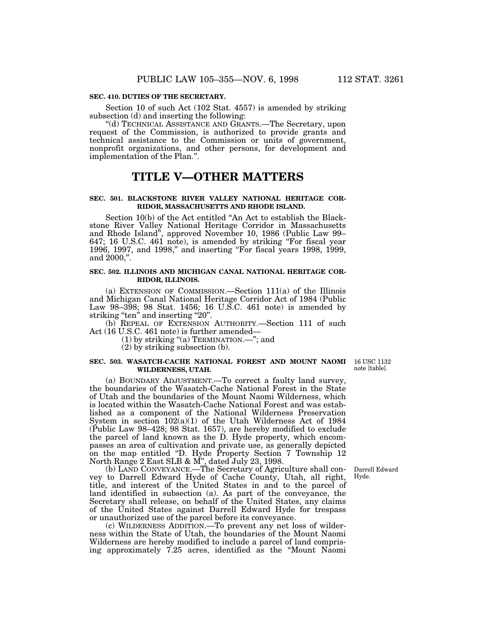#### **SEC. 410. DUTIES OF THE SECRETARY.**

Section 10 of such Act (102 Stat. 4557) is amended by striking subsection (d) and inserting the following:

''(d) TECHNICAL ASSISTANCE AND GRANTS.—The Secretary, upon request of the Commission, is authorized to provide grants and technical assistance to the Commission or units of government, nonprofit organizations, and other persons, for development and implementation of the Plan.''.

## **TITLE V—OTHER MATTERS**

#### **SEC. 501. BLACKSTONE RIVER VALLEY NATIONAL HERITAGE COR-RIDOR, MASSACHUSETTS AND RHODE ISLAND.**

Section 10(b) of the Act entitled ''An Act to establish the Blackstone River Valley National Heritage Corridor in Massachusetts and Rhode Island'', approved November 10, 1986 (Public Law 99– 647; 16 U.S.C. 461 note), is amended by striking "For fiscal year 1996, 1997, and 1998,'' and inserting ''For fiscal years 1998, 1999, and 2000,''.

### **SEC. 502. ILLINOIS AND MICHIGAN CANAL NATIONAL HERITAGE COR-RIDOR, ILLINOIS.**

(a) EXTENSION OF COMMISSION.—Section 111(a) of the Illinois and Michigan Canal National Heritage Corridor Act of 1984 (Public Law 98–398; 98 Stat. 1456; 16 U.S.C. 461 note) is amended by striking "ten" and inserting "20".

(b) REPEAL OF EXTENSION AUTHORITY.—Section 111 of such Act (16 U.S.C. 461 note) is further amended—

(1) by striking ''(a) TERMINATION.—''; and

(2) by striking subsection (b).

#### **SEC. 503. WASATCH-CACHE NATIONAL FOREST AND MOUNT NAOMI** 16 USC 1132 **WILDERNESS, UTAH.**

(a) BOUNDARY ADJUSTMENT.—To correct a faulty land survey, the boundaries of the Wasatch-Cache National Forest in the State of Utah and the boundaries of the Mount Naomi Wilderness, which is located within the Wasatch-Cache National Forest and was established as a component of the National Wilderness Preservation System in section 102(a)(1) of the Utah Wilderness Act of 1984 (Public Law 98–428; 98 Stat. 1657), are hereby modified to exclude the parcel of land known as the D. Hyde property, which encompasses an area of cultivation and private use, as generally depicted on the map entitled "D. Hyde Property Section 7 Township 12 North Range 2 East SLB & M'', dated July 23, 1998.

(b) LAND CONVEYANCE.—The Secretary of Agriculture shall convey to Darrell Edward Hyde of Cache County, Utah, all right, title, and interest of the United States in and to the parcel of land identified in subsection (a). As part of the conveyance, the Secretary shall release, on behalf of the United States, any claims of the United States against Darrell Edward Hyde for trespass or unauthorized use of the parcel before its conveyance.

(c) WILDERNESS ADDITION.—To prevent any net loss of wilderness within the State of Utah, the boundaries of the Mount Naomi Wilderness are hereby modified to include a parcel of land comprising approximately 7.25 acres, identified as the ''Mount Naomi

n ote [table].

Darrell Edward Hyde.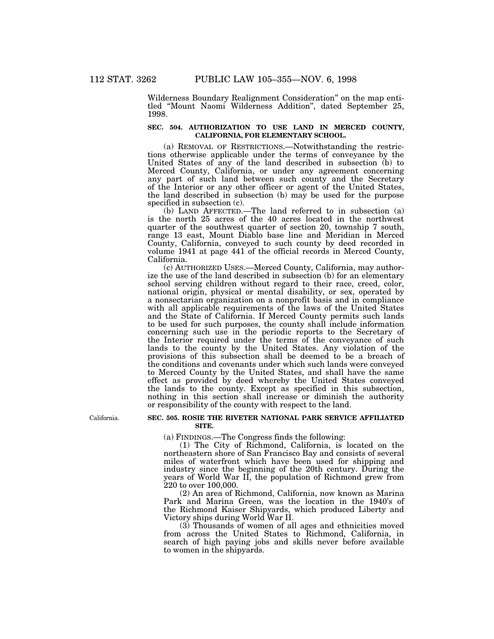Wilderness Boundary Realignment Consideration'' on the map entitled ''Mount Naomi Wilderness Addition'', dated September 25, 1998.

## **SEC. 504. AUTHORIZATION TO USE LAND IN MERCED COUNTY, CALIFORNIA, FOR ELEMENTARY SCHOOL.**

(a) REMOVAL OF RESTRICTIONS.—Notwithstanding the restrictions otherwise applicable under the terms of conveyance by the United States of any of the land described in subsection (b) to Merced County, California, or under any agreement concerning any part of such land between such county and the Secretary of the Interior or any other officer or agent of the United States, the land described in subsection (b) may be used for the purpose specified in subsection (c).

(b) LAND AFFECTED.—The land referred to in subsection (a) is the north 25 acres of the 40 acres located in the northwest quarter of the southwest quarter of section 20, township 7 south, range 13 east, Mount Diablo base line and Meridian in Merced County, California, conveyed to such county by deed recorded in volume 1941 at page 441 of the official records in Merced County, California.

(c) AUTHORIZED USES.—Merced County, California, may authorize the use of the land described in subsection (b) for an elementary school serving children without regard to their race, creed, color, national origin, physical or mental disability, or sex, operated by a nonsectarian organization on a nonprofit basis and in compliance with all applicable requirements of the laws of the United States and the State of California. If Merced County permits such lands to be used for such purposes, the county shall include information concerning such use in the periodic reports to the Secretary of the Interior required under the terms of the conveyance of such lands to the county by the United States. Any violation of the provisions of this subsection shall be deemed to be a breach of the conditions and covenants under which such lands were conveyed to Merced County by the United States, and shall have the same effect as provided by deed whereby the United States conveyed the lands to the county. Except as specified in this subsection, nothing in this section shall increase or diminish the authority or responsibility of the county with respect to the land.

California.

#### **SEC. 505. ROSIE THE RIVETER NATIONAL PARK SERVICE AFFILIATED SITE.**

(a) FINDINGS.—The Congress finds the following:

(1) The City of Richmond, California, is located on the northeastern shore of San Francisco Bay and consists of several miles of waterfront which have been used for shipping and industry since the beginning of the 20th century. During the years of World War II, the population of Richmond grew from 220 to over 100,000.

(2) An area of Richmond, California, now known as Marina Park and Marina Green, was the location in the 1940's of the Richmond Kaiser Shipyards, which produced Liberty and Victory ships during World War II.

(3) Thousands of women of all ages and ethnicities moved from across the United States to Richmond, California, in search of high paying jobs and skills never before available to women in the shipyards.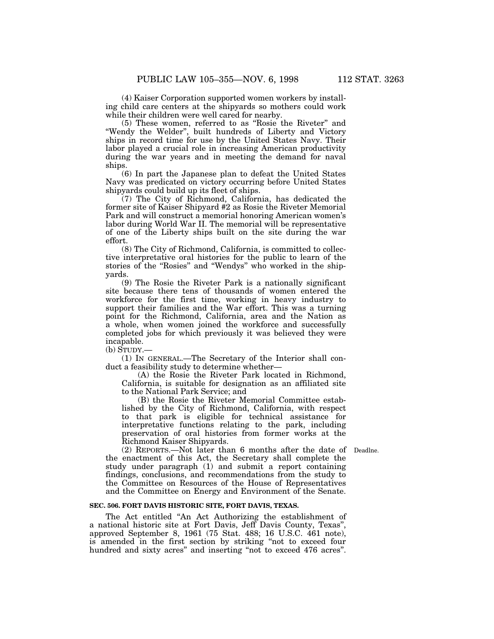(4) Kaiser Corporation supported women workers by installing child care centers at the shipyards so mothers could work while their children were well cared for nearby.

(5) These women, referred to as ''Rosie the Riveter'' and ''Wendy the Welder'', built hundreds of Liberty and Victory ships in record time for use by the United States Navy. Their labor played a crucial role in increasing American productivity during the war years and in meeting the demand for naval ships.

(6) In part the Japanese plan to defeat the United States Navy was predicated on victory occurring before United States shipyards could build up its fleet of ships.

(7) The City of Richmond, California, has dedicated the former site of Kaiser Shipyard #2 as Rosie the Riveter Memorial Park and will construct a memorial honoring American women's labor during World War II. The memorial will be representative of one of the Liberty ships built on the site during the war effort.

(8) The City of Richmond, California, is committed to collective interpretative oral histories for the public to learn of the stories of the "Rosies" and "Wendys" who worked in the shipyards.

(9) The Rosie the Riveter Park is a nationally significant site because there tens of thousands of women entered the workforce for the first time, working in heavy industry to support their families and the War effort. This was a turning point for the Richmond, California, area and the Nation as a whole, when women joined the workforce and successfully completed jobs for which previously it was believed they were incapable.

 $(b)$  STUDY.—

(1) IN GENERAL.—The Secretary of the Interior shall conduct a feasibility study to determine whether—

(A) the Rosie the Riveter Park located in Richmond, California, is suitable for designation as an affiliated site to the National Park Service; and

(B) the Rosie the Riveter Memorial Committee established by the City of Richmond, California, with respect to that park is eligible for technical assistance for interpretative functions relating to the park, including preservation of oral histories from former works at the Richmond Kaiser Shipyards.

(2) REPORTS.—Not later than 6 months after the date of Deadlne. the enactment of this Act, the Secretary shall complete the study under paragraph (1) and submit a report containing findings, conclusions, and recommendations from the study to the Committee on Resources of the House of Representatives and the Committee on Energy and Environment of the Senate.

#### **SEC. 506. FORT DAVIS HISTORIC SITE, FORT DAVIS, TEXAS.**

The Act entitled "An Act Authorizing the establishment of a national historic site at Fort Davis, Jeff Davis County, Texas'', approved September 8, 1961 (75 Stat. 488; 16 U.S.C. 461 note), is amended in the first section by striking ''not to exceed four hundred and sixty acres" and inserting "not to exceed 476 acres".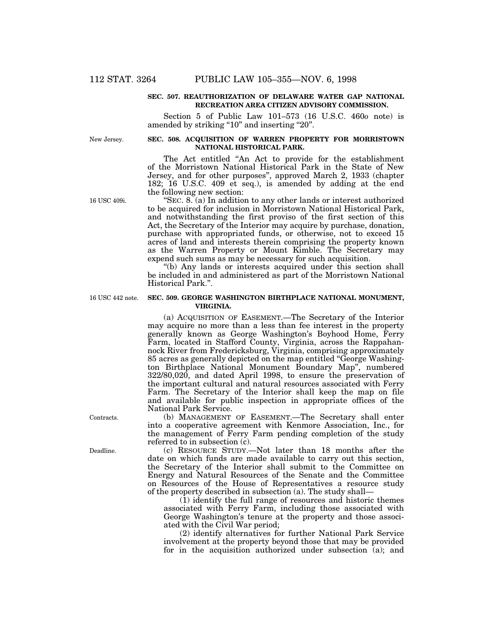#### **SEC. 507. REAUTHORIZATION OF DELAWARE WATER GAP NATIONAL RECREATION AREA CITIZEN ADVISORY COMMISSION.**

Section 5 of Public Law 101–573 (16 U.S.C. 460*o* note) is amended by striking "10" and inserting "20".

New Jersey.

### **SEC. 508. ACQUISITION OF WARREN PROPERTY FOR MORRISTOWN NATIONAL HISTORICAL PARK.**

The Act entitled ''An Act to provide for the establishment of the Morristown National Historical Park in the State of New Jersey, and for other purposes'', approved March 2, 1933 (chapter 182; 16 U.S.C. 409 et seq.), is amended by adding at the end the following new section:

 $'SEC. 8. (a)$  In addition to any other lands or interest authorized to be acquired for inclusion in Morristown National Historical Park, and notwithstanding the first proviso of the first section of this Act, the Secretary of the Interior may acquire by purchase, donation, purchase with appropriated funds, or otherwise, not to exceed 15 acres of land and interests therein comprising the property known as the Warren Property or Mount Kimble. The Secretary may expend such sums as may be necessary for such acquisition.

''(b) Any lands or interests acquired under this section shall be included in and administered as part of the Morristown National Historical Park.''.

#### **SEC. 509. GEORGE WASHINGTON BIRTHPLACE NATIONAL MONUMENT, VIRGINIA.**

(a) ACQUISITION OF EASEMENT.—The Secretary of the Interior may acquire no more than a less than fee interest in the property generally known as George Washington's Boyhood Home, Ferry Farm, located in Stafford County, Virginia, across the Rappahannock River from Fredericksburg, Virginia, comprising approximately 85 acres as generally depicted on the map entitled ''George Washington Birthplace National Monument Boundary Map'', numbered 322/80,020, and dated April 1998, to ensure the preservation of the important cultural and natural resources associated with Ferry Farm. The Secretary of the Interior shall keep the map on file and available for public inspection in appropriate offices of the National Park Service.

(b) MANAGEMENT OF EASEMENT.—The Secretary shall enter into a cooperative agreement with Kenmore Association, Inc., for the management of Ferry Farm pending completion of the study referred to in subsection (c).

(c) RESOURCE STUDY.—Not later than 18 months after the date on which funds are made available to carry out this section, the Secretary of the Interior shall submit to the Committee on Energy and Natural Resources of the Senate and the Committee on Resources of the House of Representatives a resource study of the property described in subsection (a). The study shall—

(1) identify the full range of resources and historic themes associated with Ferry Farm, including those associated with George Washington's tenure at the property and those associated with the Civil War period;

(2) identify alternatives for further National Park Service involvement at the property beyond those that may be provided for in the acquisition authorized under subsection (a); and

16 USC 409i.

16 USC 442 note.

Contracts.

Deadline.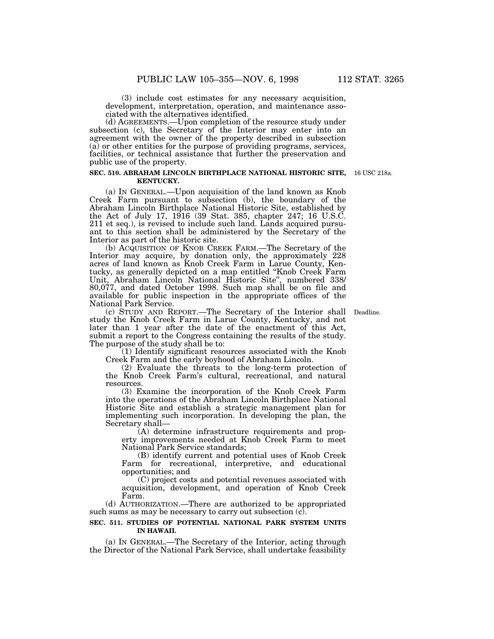(3) include cost estimates for any necessary acquisition, development, interpretation, operation, and maintenance associated with the alternatives identified.

(d) AGREEMENTS.—Upon completion of the resource study under subsection (c), the Secretary of the Interior may enter into an agreement with the owner of the property described in subsection (a) or other entities for the purpose of providing programs, services, facilities, or technical assistance that further the preservation and public use of the property.

#### **SEC. 510. ABRAHAM LINCOLN BIRTHPLACE NATIONAL HISTORIC SITE,**  16 USC 218a. **KENTUCKY.**

(a) IN GENERAL.—Upon acquisition of the land known as Knob Creek Farm pursuant to subsection (b), the boundary of the Abraham Lincoln Birthplace National Historic Site, established by the Act of July 17, 1916 (39 Stat. 385, chapter 247; 16 U.S.C. 211 et seq.), is revised to include such land. Lands acquired pursuant to this section shall be administered by the Secretary of the Interior as part of the historic site.

(b) ACQUISITION OF KNOB CREEK FARM.—The Secretary of the Interior may acquire, by donation only, the approximately 228 acres of land known as Knob Creek Farm in Larue County, Kentucky, as generally depicted on a map entitled ''Knob Creek Farm Unit, Abraham Lincoln National Historic Site'', numbered 338/ 80,077, and dated October 1998. Such map shall be on file and available for public inspection in the appropriate offices of the National Park Service.

(c) STUDY AND REPORT.—The Secretary of the Interior shall Deadline. study the Knob Creek Farm in Larue County, Kentucky, and not later than 1 year after the date of the enactment of this Act, submit a report to the Congress containing the results of the study. The purpose of the study shall be to:

(1) Identify significant resources associated with the Knob Creek Farm and the early boyhood of Abraham Lincoln.

(2) Evaluate the threats to the long-term protection of the Knob Creek Farm's cultural, recreational, and natural resources.

(3) Examine the incorporation of the Knob Creek Farm into the operations of the Abraham Lincoln Birthplace National Historic Site and establish a strategic management plan for implementing such incorporation. In developing the plan, the Secretary shall—

(A) determine infrastructure requirements and property improvements needed at Knob Creek Farm to meet National Park Service standards;

(B) identify current and potential uses of Knob Creek Farm for recreational, interpretive, and educational opportunities; and

(C) project costs and potential revenues associated with acquisition, development, and operation of Knob Creek Farm.

(d) AUTHORIZATION.—There are authorized to be appropriated such sums as may be necessary to carry out subsection  $(c)$ .

#### **SEC. 511. STUDIES OF POTENTIAL NATIONAL PARK SYSTEM UNITS IN HAWAII.**

(a) IN GENERAL.—The Secretary of the Interior, acting through the Director of the National Park Service, shall undertake feasibility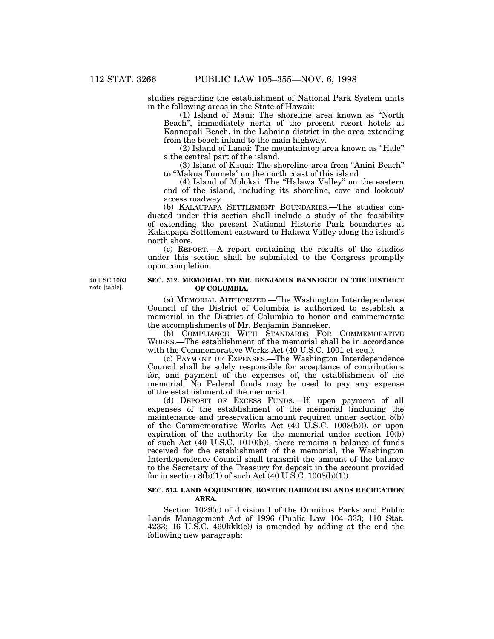studies regarding the establishment of National Park System units in the following areas in the State of Hawaii:

(1) Island of Maui: The shoreline area known as ''North Beach'', immediately north of the present resort hotels at Kaanapali Beach, in the Lahaina district in the area extending from the beach inland to the main highway.

(2) Island of Lanai: The mountaintop area known as ''Hale'' a the central part of the island.

(3) Island of Kauai: The shoreline area from ''Anini Beach'' to ''Makua Tunnels'' on the north coast of this island.

(4) Island of Molokai: The ''Halawa Valley'' on the eastern end of the island, including its shoreline, cove and lookout/ access roadway.

(b) KALAUPAPA SETTLEMENT BOUNDARIES.—The studies conducted under this section shall include a study of the feasibility of extending the present National Historic Park boundaries at Kalaupapa Settlement eastward to Halawa Valley along the island's north shore.

(c) REPORT.—A report containing the results of the studies under this section shall be submitted to the Congress promptly upon completion.

40 USC 1003 note [table].

## **SEC. 512. MEMORIAL TO MR. BENJAMIN BANNEKER IN THE DISTRICT OF COLUMBIA.**

(a) MEMORIAL AUTHORIZED.—The Washington Interdependence Council of the District of Columbia is authorized to establish a memorial in the District of Columbia to honor and commemorate the accomplishments of Mr. Benjamin Banneker.

(b) COMPLIANCE WITH STANDARDS FOR COMMEMORATIVE WORKS.—The establishment of the memorial shall be in accordance with the Commemorative Works Act (40 U.S.C. 1001 et seq.).

(c) PAYMENT OF EXPENSES.—The Washington Interdependence Council shall be solely responsible for acceptance of contributions for, and payment of the expenses of, the establishment of the memorial. No Federal funds may be used to pay any expense of the establishment of the memorial.

(d) DEPOSIT OF EXCESS FUNDS.—If, upon payment of all expenses of the establishment of the memorial (including the maintenance and preservation amount required under section 8(b) of the Commemorative Works Act (40 U.S.C. 1008(b))), or upon expiration of the authority for the memorial under section 10(b) of such Act (40 U.S.C. 1010(b)), there remains a balance of funds received for the establishment of the memorial, the Washington Interdependence Council shall transmit the amount of the balance to the Secretary of the Treasury for deposit in the account provided for in section  $8(b)(1)$  of such Act (40 U.S.C. 1008(b)(1)).

## **SEC. 513. LAND ACQUISITION, BOSTON HARBOR ISLANDS RECREATION AREA.**

Section 1029(c) of division I of the Omnibus Parks and Public Lands Management Act of 1996 (Public Law 104–333; 110 Stat. 4233; 16 U.S.C. 460kkk(c)) is amended by adding at the end the following new paragraph: